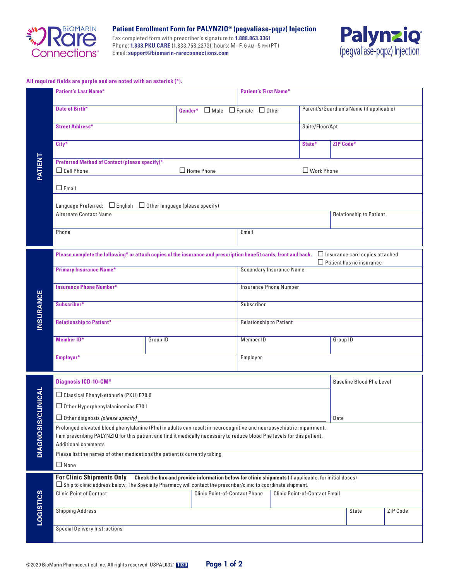

**Patient Enrollment Form for PALYNZIQ® (pegvaliase-pqpz) Injection**

Fax completed form with prescriber's signature to **1.888.863.3361** Phone: **1.833.PKU.CARE** (1.833.758.2273); hours: M–F, 6 am–5 pm (PT) Email: **support@biomarin-rareconnections.com**



### **All required fields are purple and are noted with an asterisk (\*).**

|                  | <b>Patient's Last Name*</b>                                                                                                                                                                                                                                                   |          |                   |                                                |                                 |                                 |  | <b>Patient's First Name*</b> |                                |           |                                          |          |
|------------------|-------------------------------------------------------------------------------------------------------------------------------------------------------------------------------------------------------------------------------------------------------------------------------|----------|-------------------|------------------------------------------------|---------------------------------|---------------------------------|--|------------------------------|--------------------------------|-----------|------------------------------------------|----------|
| PATIENT          | Date of Birth*                                                                                                                                                                                                                                                                |          |                   | Gender* $\Box$ Male $\Box$ Female $\Box$ Other |                                 |                                 |  |                              |                                |           | Parent's/Guardian's Name (if applicable) |          |
|                  | <b>Street Address*</b>                                                                                                                                                                                                                                                        |          |                   |                                                |                                 | Suite/Floor/Apt                 |  |                              |                                |           |                                          |          |
|                  | City*                                                                                                                                                                                                                                                                         |          |                   |                                                |                                 |                                 |  |                              | State*                         | ZIP Code* |                                          |          |
|                  | <b>Preferred Method of Contact (please specify)*</b><br>$\Box$ Cell Phone                                                                                                                                                                                                     |          | $\Box$ Home Phone |                                                |                                 |                                 |  |                              | $\Box$ Work Phone              |           |                                          |          |
|                  | $\Box$ Email                                                                                                                                                                                                                                                                  |          |                   |                                                |                                 |                                 |  |                              |                                |           |                                          |          |
|                  | Language Preferred: $\Box$ English $\Box$ Other language (please specify)                                                                                                                                                                                                     |          |                   |                                                |                                 |                                 |  |                              |                                |           |                                          |          |
|                  | <b>Alternate Contact Name</b>                                                                                                                                                                                                                                                 |          |                   |                                                |                                 |                                 |  |                              | <b>Relationship to Patient</b> |           |                                          |          |
|                  | Phone                                                                                                                                                                                                                                                                         |          |                   |                                                |                                 | Email                           |  |                              |                                |           |                                          |          |
|                  | Please complete the following* or attach copies of the insurance and prescription benefit cards, front and back.<br>$\Box$ Insurance card copies attached<br>$\Box$ Patient has no insurance                                                                                  |          |                   |                                                |                                 |                                 |  |                              |                                |           |                                          |          |
|                  | <b>Primary Insurance Name*</b>                                                                                                                                                                                                                                                |          |                   |                                                | <b>Secondary Insurance Name</b> |                                 |  |                              |                                |           |                                          |          |
|                  | <b>Insurance Phone Number*</b>                                                                                                                                                                                                                                                |          |                   |                                                | <b>Insurance Phone Number</b>   |                                 |  |                              |                                |           |                                          |          |
| <b>INSURANCE</b> | Subscriber*                                                                                                                                                                                                                                                                   |          |                   |                                                | Subscriber                      |                                 |  |                              |                                |           |                                          |          |
|                  | <b>Relationship to Patient*</b>                                                                                                                                                                                                                                               |          |                   |                                                | <b>Relationship to Patient</b>  |                                 |  |                              |                                |           |                                          |          |
|                  | <b>Member ID*</b>                                                                                                                                                                                                                                                             | Group ID |                   |                                                | Member ID                       |                                 |  | Group ID                     |                                |           |                                          |          |
|                  | Employer*<br>Employer                                                                                                                                                                                                                                                         |          |                   |                                                |                                 |                                 |  |                              |                                |           |                                          |          |
|                  | <b>Diagnosis ICD-10-CM*</b>                                                                                                                                                                                                                                                   |          |                   |                                                |                                 | <b>Baseline Blood Phe Level</b> |  |                              |                                |           |                                          |          |
| CLINICAL         | □ Classical Phenylketonuria (PKU) E70.0<br>$\Box$ Other Hyperphenylalaninemias E70.1                                                                                                                                                                                          |          |                   |                                                |                                 |                                 |  |                              |                                |           |                                          |          |
|                  | $\Box$ Other diagnosis (please specify)                                                                                                                                                                                                                                       |          |                   |                                                |                                 |                                 |  | Date                         |                                |           |                                          |          |
| <b>DIAGNOSIS</b> | Prolonged elevated blood phenylalanine (Phe) in adults can result in neurocognitive and neuropsychiatric impairment.<br>I am prescribing PALYNZIQ for this patient and find it medically necessary to reduce blood Phe levels for this patient.<br><b>Additional comments</b> |          |                   |                                                |                                 |                                 |  |                              |                                |           |                                          |          |
|                  | Please list the names of other medications the patient is currently taking                                                                                                                                                                                                    |          |                   |                                                |                                 |                                 |  |                              |                                |           |                                          |          |
|                  | $\Box$ None                                                                                                                                                                                                                                                                   |          |                   |                                                |                                 |                                 |  |                              |                                |           |                                          |          |
| <b>LOGISTICS</b> | <b>For Clinic Shipments Only</b><br>Check the box and provide information below for clinic shipments (if applicable, for initial doses)<br>□ Ship to clinic address below. The Specialty Pharmacy will contact the prescriber/clinic to coordinate shipment.                  |          |                   |                                                |                                 |                                 |  |                              |                                |           |                                          |          |
|                  | <b>Clinic Point of Contact</b><br>Clinic Point-of-Contact Phone                                                                                                                                                                                                               |          |                   |                                                | Clinic Point-of-Contact Email   |                                 |  |                              |                                |           |                                          |          |
|                  | <b>Shipping Address</b>                                                                                                                                                                                                                                                       |          |                   |                                                |                                 |                                 |  |                              |                                |           | State                                    | ZIP Code |
|                  | <b>Special Delivery Instructions</b>                                                                                                                                                                                                                                          |          |                   |                                                |                                 |                                 |  |                              |                                |           |                                          |          |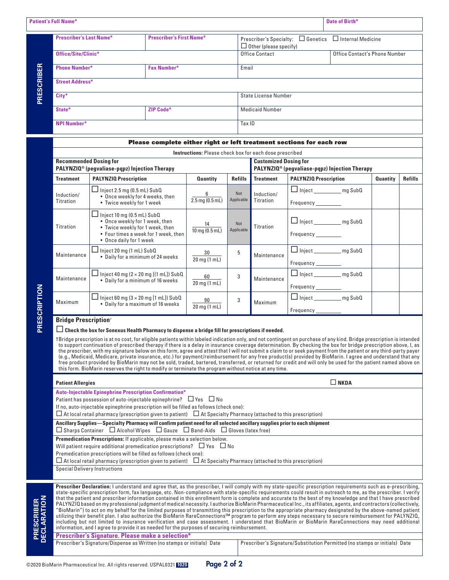|            | <b>Patient's Full Name*</b>    |                                 |                                                                                                   | Date of Birth*                |  |  |
|------------|--------------------------------|---------------------------------|---------------------------------------------------------------------------------------------------|-------------------------------|--|--|
|            | <b>Prescriber's Last Name*</b> | <b>Prescriber's First Name*</b> | Prescriber's Specialty: $\Box$ Genetics $\Box$ Internal Medicine<br>$\Box$ Other (please specify) |                               |  |  |
|            | Office/Site/Clinic*            |                                 | Office Contact                                                                                    | Office Contact's Phone Number |  |  |
|            | <b>Phone Number*</b>           | <b>Fax Number*</b>              | Email                                                                                             |                               |  |  |
| PRESCRIBER | <b>Street Address*</b>         |                                 |                                                                                                   |                               |  |  |
|            | City*                          |                                 | State License Number                                                                              |                               |  |  |
|            | State*                         | <b>ZIP Code*</b>                | <b>Medicaid Number</b>                                                                            |                               |  |  |
|            | <b>NPI Number*</b>             |                                 | Tax ID                                                                                            |                               |  |  |

#### Please complete either right or left treatment sections for each row **Instructions:** Please check box for each dose prescribed **Recommended Dosing for PALYNZIQ® (pegvaliase-pqpz) Injection Therapy Customized Dosing for PALYNZIQ® (pegvaliase-pqpz) Injection Therapy Treatment PALYNZIQ Prescription Quantity Refills Treatment PALYNZIQ Prescription Quantity Refills** Induction/ Titration  $\Box$  Inject 2.5 mg (0.5 mL) SubQ • Once weekly for 4 weeks, then • Twice weekly for 1 week 6 2.5 mg (0.5 mL) Not Applicable Induction/ **Titration** □ Inject \_\_\_\_\_\_\_\_\_\_ mg SubQ Frequency\_\_\_\_\_\_ **Titration**  $\Box$  Inject 10 mg (0.5 mL) SubQ • Once weekly for 1 week, then • Twice weekly for 1 week, then • Four times a week for 1 week, then • Once daily for 1 week 14 10 mg (0.5 mL) Not **Applicable** Titration □ Inject \_\_\_\_\_\_\_\_\_ mg SubQ Frequency\_\_\_\_\_ Maintenance  $\Box$  Inject 20 mg (1 mL) SubQ Inject 20 mg (1 mL) SubQ<br>• Daily for a minimum of 24 weeks  $\frac{30}{20 \text{ m} \Omega}$ 20 mg (1 mL) <sup>5</sup> Maintenance □ Inject \_\_\_\_\_\_\_\_\_\_ mg SubQ Frequency\_ Maintenance  $\Box$  Inject 40 mg (2 × 20 mg [(1 mL]) SubQ Inject 40 mg (2 × 20 mg [(1 mLJ) SubQ<br>• Daily for a minimum of 16 weeks  $\frac{60}{20 \text{ m} \text{s}}$  /1 20 mg (1 mL) <sup>3</sup> Maintenance □ Inject \_\_\_\_\_\_\_\_\_\_ mg SubQ Frequency\_  $\Box$  Inject 60 mg (3 × 20 mg [1 mL]) SubQ inject bu mg (3 × 20 mg [1 mL]) Subu<br>• Daily for a maximum of 16 weeks  $\frac{90}{20 \text{ m} \Omega}$ <sup>3</sup> Maximum  $\Box$  Inject \_\_\_\_\_\_\_\_\_\_\_\_\_ mg SubQ

### **Bridge Prescription**†

Maximum

**PRESCRIPTION**

PRESCRIPTION

### ¨**Check the box for Sonexus Health Pharmacy to dispense a bridge fill for prescriptions if needed.**

20 mg (1 mL)

†Bridge prescription is at no cost, for eligible patients within labeled indication only, and not contingent on purchase of any kind. Bridge prescription is intended to support continuation of prescribed therapy if there is a delay in insurance coverage determination. By checking the box for bridge prescription above, I, as the prescriber, with my signature below on this form, agree and attest that I will not submit a claim to or seek payment from the patient or any third-party payer (e.g., Medicaid, Medicare, private insurance, etc.) for payment/reimbursement for any free product(s) provided by BioMarin. I agree and understand that any free product provided by BioMarin may not be sold, traded, bartered, transferred, or returned for credit and will only be used for the patient named above on this form. BioMarin reserves the right to modify or terminate the program without notice at any time.

Frequency

| Auto-Injectable Epinephrine Prescription Confirmation*<br>Patient has possession of auto-injectable epinephrine? $\Box$ Yes $\Box$ No<br>If no, auto-injectable epinephrine prescription will be filled as follows (check one):<br>$\Box$ At local retail pharmacy (prescription given to patient) $\Box$ At Specialty Pharmacy (attached to this prescription)<br>Ancillary Supplies—Specialty Pharmacy will confirm patient need for all selected ancillary supplies prior to each shipment<br>$\Box$ Sharps Container $\Box$ Alcohol Wipes $\Box$ Gauze $\Box$ Band-Aids $\Box$ Gloves (latex free)<br>Premedication Prescriptions: If applicable, please make a selection below.                                                                                                                                                                                                                                                                                                                                                                                                                                                                                                                                                                                                             |  |  |  |  |  |  |
|--------------------------------------------------------------------------------------------------------------------------------------------------------------------------------------------------------------------------------------------------------------------------------------------------------------------------------------------------------------------------------------------------------------------------------------------------------------------------------------------------------------------------------------------------------------------------------------------------------------------------------------------------------------------------------------------------------------------------------------------------------------------------------------------------------------------------------------------------------------------------------------------------------------------------------------------------------------------------------------------------------------------------------------------------------------------------------------------------------------------------------------------------------------------------------------------------------------------------------------------------------------------------------------------------|--|--|--|--|--|--|
|                                                                                                                                                                                                                                                                                                                                                                                                                                                                                                                                                                                                                                                                                                                                                                                                                                                                                                                                                                                                                                                                                                                                                                                                                                                                                                  |  |  |  |  |  |  |
|                                                                                                                                                                                                                                                                                                                                                                                                                                                                                                                                                                                                                                                                                                                                                                                                                                                                                                                                                                                                                                                                                                                                                                                                                                                                                                  |  |  |  |  |  |  |
|                                                                                                                                                                                                                                                                                                                                                                                                                                                                                                                                                                                                                                                                                                                                                                                                                                                                                                                                                                                                                                                                                                                                                                                                                                                                                                  |  |  |  |  |  |  |
| Will patient require additional premedication prescriptions? $\Box$ Yes $\Box$ No<br>Premedication prescriptions will be filled as follows (check one):                                                                                                                                                                                                                                                                                                                                                                                                                                                                                                                                                                                                                                                                                                                                                                                                                                                                                                                                                                                                                                                                                                                                          |  |  |  |  |  |  |
| $\Box$ At local retail pharmacy (prescription given to patient) $\Box$ At Specialty Pharmacy (attached to this prescription)                                                                                                                                                                                                                                                                                                                                                                                                                                                                                                                                                                                                                                                                                                                                                                                                                                                                                                                                                                                                                                                                                                                                                                     |  |  |  |  |  |  |
| <b>Special Delivery Instructions</b>                                                                                                                                                                                                                                                                                                                                                                                                                                                                                                                                                                                                                                                                                                                                                                                                                                                                                                                                                                                                                                                                                                                                                                                                                                                             |  |  |  |  |  |  |
| Prescriber Declaration: I understand and agree that, as the prescriber, I will comply with my state-specific prescription requirements such as e-prescribing,<br>state-specific prescription form, fax language, etc. Non-compliance with state-specific requirements could result in outreach to me, as the prescriber. I verify<br><b>PRESCRIBER<br/>DECLARATION</b><br>that the patient and prescriber information contained in this enrollment form is complete and accurate to the best of my knowledge and that I have prescribed<br>PALYNZIQ based on my professional judgment of medical necessity. I authorize BioMarin Pharmaceutical Inc., its affiliates, agents, and contractors (collectively,<br>"BioMarin") to act on my behalf for the limited purposes of transmitting this prescription to the appropriate pharmacy designated by the above-named patient<br>utilizing their benefit plan. I also authorize the BioMarin RareConnections™ program to perform any steps necessary to secure reimbursement for PALYNZIQ,<br>including but not limited to insurance verification and case assessment. I understand that BioMarin or BioMarin RareConnections may need additional<br>information, and I agree to provide it as needed for the purposes of securing reimbursement. |  |  |  |  |  |  |
| <b>Prescriber's Signature. Please make a selection*</b>                                                                                                                                                                                                                                                                                                                                                                                                                                                                                                                                                                                                                                                                                                                                                                                                                                                                                                                                                                                                                                                                                                                                                                                                                                          |  |  |  |  |  |  |
| Prescriber's Signature/Dispense as Written (no stamps or initials) Date<br>Prescriber's Signature/Substitution Permitted (no stamps or initials) Date                                                                                                                                                                                                                                                                                                                                                                                                                                                                                                                                                                                                                                                                                                                                                                                                                                                                                                                                                                                                                                                                                                                                            |  |  |  |  |  |  |